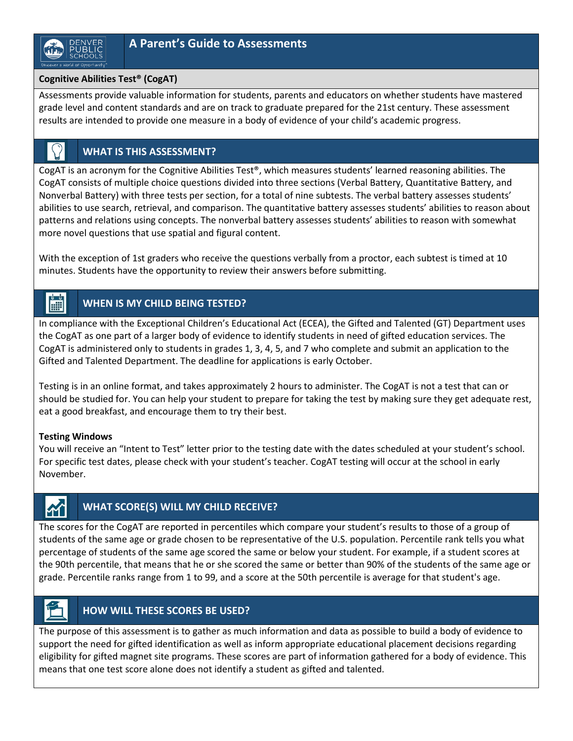

### **Cognitive Abilities Test® (CogAT)**

Assessments provide valuable information for students, parents and educators on whether students have mastered grade level and content standards and are on track to graduate prepared for the 21st century. These assessment results are intended to provide one measure in a body of evidence of your child's academic progress.

## **WHAT IS THIS ASSESSMENT?**

CogAT is an acronym for the Cognitive Abilities Test®, which measures students' learned reasoning abilities. The CogAT consists of multiple choice questions divided into three sections (Verbal Battery, Quantitative Battery, and Nonverbal Battery) with three tests per section, for a total of nine subtests. The verbal battery assesses students' abilities to use search, retrieval, and comparison. The quantitative battery assesses students' abilities to reason about patterns and relations using concepts. The nonverbal battery assesses students' abilities to reason with somewhat more novel questions that use spatial and figural content.

With the exception of 1st graders who receive the questions verbally from a proctor, each subtest is timed at 10 minutes. Students have the opportunity to review their answers before submitting.

### 圖 **WHEN IS MY CHILD BEING TESTED?**

In compliance with the Exceptional Children's Educational Act (ECEA), the Gifted and Talented (GT) Department uses the CogAT as one part of a larger body of evidence to identify students in need of gifted education services. The CogAT is administered only to students in grades 1, 3, 4, 5, and 7 who complete and submit an application to the Gifted and Talented Department. The deadline for applications is early October.

Testing is in an online format, and takes approximately 2 hours to administer. The CogAT is not a test that can or should be studied for. You can help your student to prepare for taking the test by making sure they get adequate rest, eat a good breakfast, and encourage them to try their best.

### **Testing Windows**

You will receive an "Intent to Test" letter prior to the testing date with the dates scheduled at your student's school. For specific test dates, please check with your student's teacher. CogAT testing will occur at the school in early November.

## **WHAT SCORE(S) WILL MY CHILD RECEIVE?**

The scores for the CogAT are reported in percentiles which compare your student's results to those of a group of students of the same age or grade chosen to be representative of the U.S. population. Percentile rank tells you what percentage of students of the same age scored the same or below your student. For example, if a student scores at the 90th percentile, that means that he or she scored the same or better than 90% of the students of the same age or grade. Percentile ranks range from 1 to 99, and a score at the 50th percentile is average for that student's age.

## **HOW WILL THESE SCORES BE USED?**

The purpose of this assessment is to gather as much information and data as possible to build a body of evidence to support the need for gifted identification as well as inform appropriate educational placement decisions regarding eligibility for gifted magnet site programs. These scores are part of information gathered for a body of evidence. This means that one test score alone does not identify a student as gifted and talented.